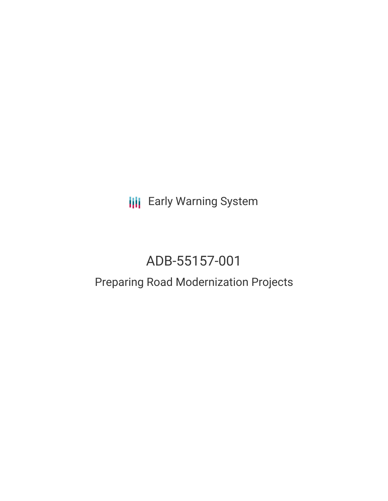**III** Early Warning System

# ADB-55157-001

# Preparing Road Modernization Projects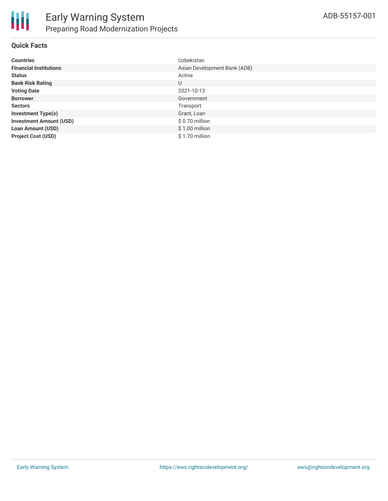

### **Quick Facts**

| <b>Countries</b>               | Uzbekistan                   |
|--------------------------------|------------------------------|
| <b>Financial Institutions</b>  | Asian Development Bank (ADB) |
| <b>Status</b>                  | Active                       |
| <b>Bank Risk Rating</b>        | U                            |
| <b>Voting Date</b>             | 2021-10-13                   |
| <b>Borrower</b>                | Government                   |
| <b>Sectors</b>                 | Transport                    |
| <b>Investment Type(s)</b>      | Grant, Loan                  |
| <b>Investment Amount (USD)</b> | \$0.70 million               |
| <b>Loan Amount (USD)</b>       | $$1.00$ million              |
| <b>Project Cost (USD)</b>      | $$1.70$ million              |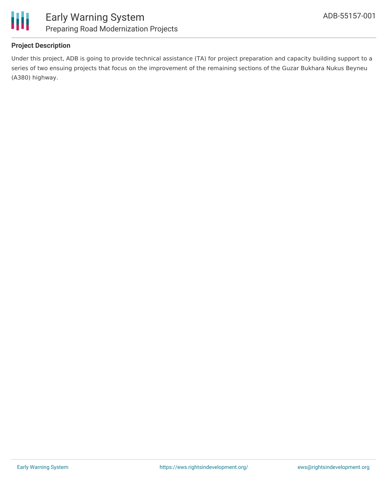

### **Project Description**

Under this project, ADB is going to provide technical assistance (TA) for project preparation and capacity building support to a series of two ensuing projects that focus on the improvement of the remaining sections of the Guzar Bukhara Nukus Beyneu (A380) highway.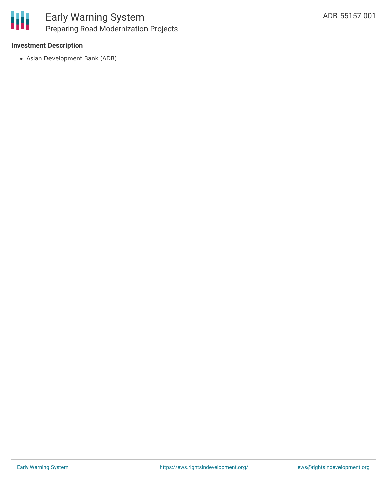

### **Investment Description**

Asian Development Bank (ADB)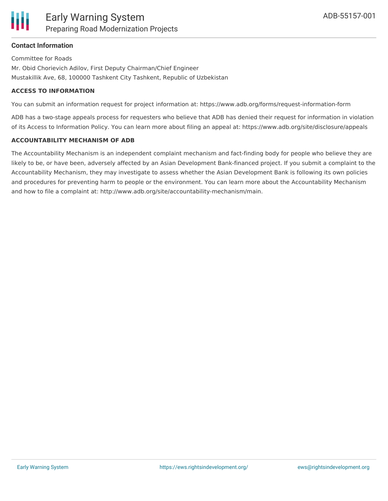

### **Contact Information**

Committee for Roads Mr. Obid Chorievich Adilov, First Deputy Chairman/Chief Engineer Mustakillik Ave, 68, 100000 Tashkent City Tashkent, Republic of Uzbekistan

#### **ACCESS TO INFORMATION**

You can submit an information request for project information at: https://www.adb.org/forms/request-information-form

ADB has a two-stage appeals process for requesters who believe that ADB has denied their request for information in violation of its Access to Information Policy. You can learn more about filing an appeal at: https://www.adb.org/site/disclosure/appeals

#### **ACCOUNTABILITY MECHANISM OF ADB**

The Accountability Mechanism is an independent complaint mechanism and fact-finding body for people who believe they are likely to be, or have been, adversely affected by an Asian Development Bank-financed project. If you submit a complaint to the Accountability Mechanism, they may investigate to assess whether the Asian Development Bank is following its own policies and procedures for preventing harm to people or the environment. You can learn more about the Accountability Mechanism and how to file a complaint at: http://www.adb.org/site/accountability-mechanism/main.